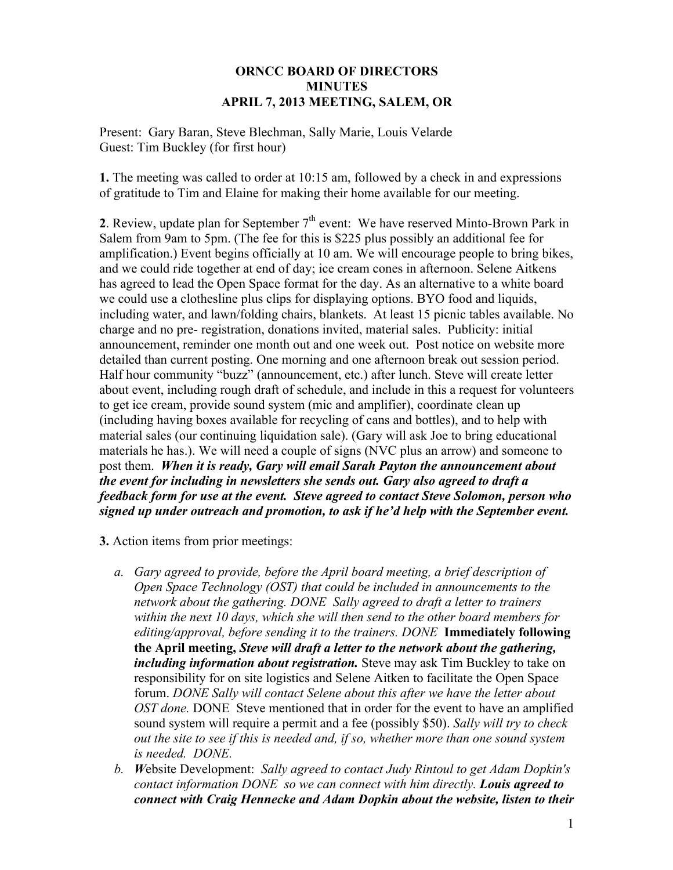#### **ORNCC BOARD OF DIRECTORS MINUTES APRIL 7, 2013 MEETING, SALEM, OR**

Present: Gary Baran, Steve Blechman, Sally Marie, Louis Velarde Guest: Tim Buckley (for first hour)

**1.** The meeting was called to order at 10:15 am, followed by a check in and expressions of gratitude to Tim and Elaine for making their home available for our meeting.

**2**. Review, update plan for September  $7<sup>th</sup>$  event: We have reserved Minto-Brown Park in Salem from 9am to 5pm. (The fee for this is \$225 plus possibly an additional fee for amplification.) Event begins officially at 10 am. We will encourage people to bring bikes, and we could ride together at end of day; ice cream cones in afternoon. Selene Aitkens has agreed to lead the Open Space format for the day. As an alternative to a white board we could use a clothesline plus clips for displaying options. BYO food and liquids, including water, and lawn/folding chairs, blankets. At least 15 picnic tables available. No charge and no pre- registration, donations invited, material sales. Publicity: initial announcement, reminder one month out and one week out. Post notice on website more detailed than current posting. One morning and one afternoon break out session period. Half hour community "buzz" (announcement, etc.) after lunch. Steve will create letter about event, including rough draft of schedule, and include in this a request for volunteers to get ice cream, provide sound system (mic and amplifier), coordinate clean up (including having boxes available for recycling of cans and bottles), and to help with material sales (our continuing liquidation sale). (Gary will ask Joe to bring educational materials he has.). We will need a couple of signs (NVC plus an arrow) and someone to post them. *When it is ready, Gary will email Sarah Payton the announcement about the event for including in newsletters she sends out. Gary also agreed to draft a feedback form for use at the event. Steve agreed to contact Steve Solomon, person who signed up under outreach and promotion, to ask if he'd help with the September event.*

- **3.** Action items from prior meetings:
	- *a. Gary agreed to provide, before the April board meeting, a brief description of Open Space Technology (OST) that could be included in announcements to the network about the gathering. DONE Sally agreed to draft a letter to trainers within the next 10 days, which she will then send to the other board members for editing/approval, before sending it to the trainers. DONE* **Immediately following the April meeting,** *Steve will draft a letter to the network about the gathering, including information about registration.* Steve may ask Tim Buckley to take on responsibility for on site logistics and Selene Aitken to facilitate the Open Space forum. *DONE Sally will contact Selene about this after we have the letter about OST done.* DONE Steve mentioned that in order for the event to have an amplified sound system will require a permit and a fee (possibly \$50). *Sally will try to check out the site to see if this is needed and, if so, whether more than one sound system is needed. DONE.*
	- *b. W*ebsite Development: *Sally agreed to contact Judy Rintoul to get Adam Dopkin's contact information DONE so we can connect with him directly. Louis agreed to connect with Craig Hennecke and Adam Dopkin about the website, listen to their*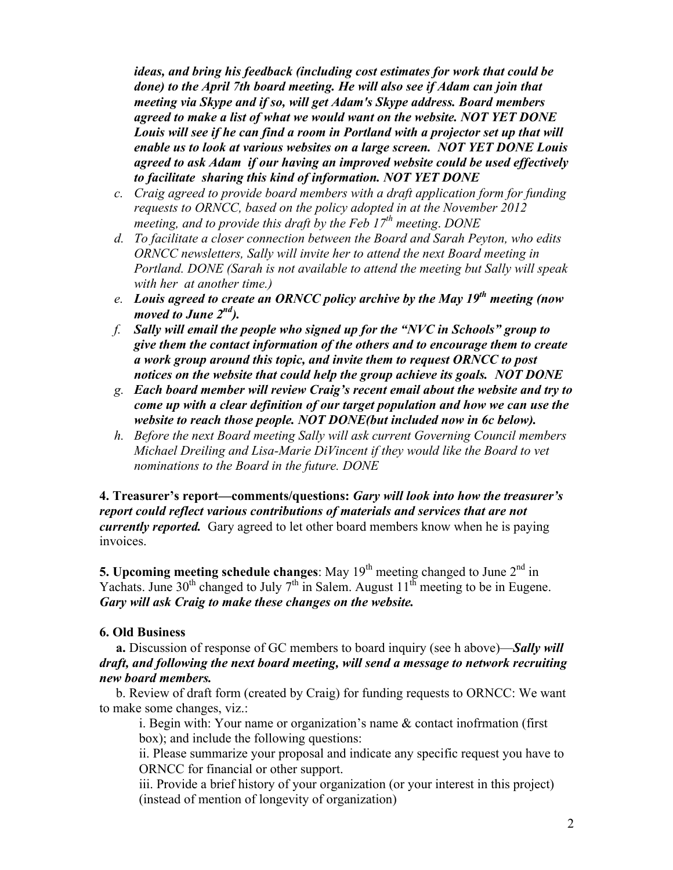*ideas, and bring his feedback (including cost estimates for work that could be done) to the April 7th board meeting. He will also see if Adam can join that meeting via Skype and if so, will get Adam's Skype address. Board members agreed to make a list of what we would want on the website. NOT YET DONE Louis will see if he can find a room in Portland with a projector set up that will enable us to look at various websites on a large screen. NOT YET DONE Louis agreed to ask Adam if our having an improved website could be used effectively to facilitate sharing this kind of information. NOT YET DONE*

- *c. Craig agreed to provide board members with a draft application form for funding requests to ORNCC, based on the policy adopted in at the November 2012 meeting, and to provide this draft by the Feb 17th meeting*. *DONE*
- *d. To facilitate a closer connection between the Board and Sarah Peyton, who edits ORNCC newsletters, Sally will invite her to attend the next Board meeting in Portland. DONE (Sarah is not available to attend the meeting but Sally will speak with her at another time.)*
- *e. Louis agreed to create an ORNCC policy archive by the May 19th meeting (now moved to June 2nd).*
- *f. Sally will email the people who signed up for the "NVC in Schools" group to give them the contact information of the others and to encourage them to create a work group around this topic, and invite them to request ORNCC to post notices on the website that could help the group achieve its goals. NOT DONE*
- *g. Each board member will review Craig's recent email about the website and try to come up with a clear definition of our target population and how we can use the website to reach those people. NOT DONE(but included now in 6c below).*
- *h. Before the next Board meeting Sally will ask current Governing Council members Michael Dreiling and Lisa-Marie DiVincent if they would like the Board to vet nominations to the Board in the future. DONE*

**4. Treasurer's report—comments/questions:** *Gary will look into how the treasurer's report could reflect various contributions of materials and services that are not currently reported.* Gary agreed to let other board members know when he is paying invoices.

**5. Upcoming meeting schedule changes**: May  $19<sup>th</sup>$  meeting changed to June  $2<sup>nd</sup>$  in Yachats. June 30<sup>th</sup> changed to July 7<sup>th</sup> in Salem. August  $11^{th}$  meeting to be in Eugene. *Gary will ask Craig to make these changes on the website.*

### **6. Old Business**

 **a.** Discussion of response of GC members to board inquiry (see h above)—*Sally will draft, and following the next board meeting, will send a message to network recruiting new board members.*

b. Review of draft form (created by Craig) for funding requests to ORNCC: We want to make some changes, viz.:

i. Begin with: Your name or organization's name & contact inofrmation (first box); and include the following questions:

ii. Please summarize your proposal and indicate any specific request you have to ORNCC for financial or other support.

iii. Provide a brief history of your organization (or your interest in this project) (instead of mention of longevity of organization)